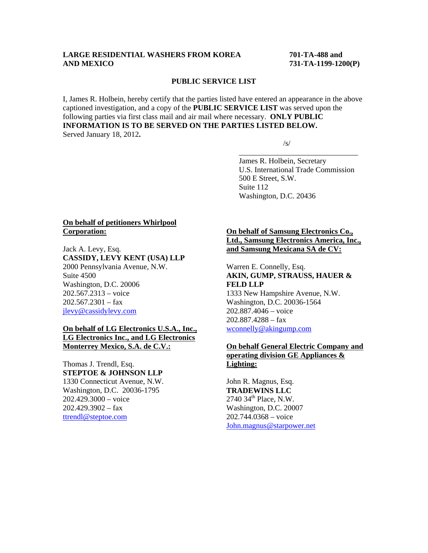# **LARGE RESIDENTIAL WASHERS FROM KOREA 701-TA-488 and AND MEXICO 731-TA-1199-1200(P)**

#### **PUBLIC SERVICE LIST**

I, James R. Holbein, hereby certify that the parties listed have entered an appearance in the above captioned investigation, and a copy of the **PUBLIC SERVICE LIST** was served upon the following parties via first class mail and air mail where necessary. **ONLY PUBLIC INFORMATION IS TO BE SERVED ON THE PARTIES LISTED BELOW.**  Served January 18, 2012**.** 

 $\overline{\phantom{a}}$  , and the contract of the contract of the contract of the contract of the contract of the contract of the contract of the contract of the contract of the contract of the contract of the contract of the contrac

 $\sqrt{s}$ /s/

 James R. Holbein, Secretary U.S. International Trade Commission 500 E Street, S.W. Suite 112 Washington, D.C. 20436

## **On behalf of petitioners Whirlpool Corporation:**

Jack A. Levy, Esq. **CASSIDY, LEVY KENT (USA) LLP** 2000 Pennsylvania Avenue, N.W. Suite 4500 Washington, D.C. 20006 202.567.2313 – voice  $202.567.2301 - fax$ jlevy@cassidylevy.com

# **On behalf of LG Electronics U.S.A., Inc., LG Electronics Inc., and LG Electronics Monterrey Mexico, S.A. de C.V.:**

Thomas J. Trendl, Esq. **STEPTOE & JOHNSON LLP** 1330 Connecticut Avenue, N.W. Washington, D.C. 20036-1795 202.429.3000 – voice  $202.429.3902 - fax$ ttrendl@steptoe.com

# **On behalf of Samsung Electronics Co., Ltd., Samsung Electronics America, Inc., and Samsung Mexicana SA de CV:**

Warren E. Connelly, Esq. **AKIN, GUMP, STRAUSS, HAUER & FELD LLP** 1333 New Hampshire Avenue, N.W. Washington, D.C. 20036-1564 202.887.4046 – voice 202.887.4288 – fax wconnelly@akingump.com

# **On behalf General Electric Company and operating division GE Appliances & Lighting:**

John R. Magnus, Esq. **TRADEWINS LLC**  $2740$   $34<sup>th</sup>$  Place, N.W. Washington, D.C. 20007 202.744.0368 – voice John.magnus@starpower.net